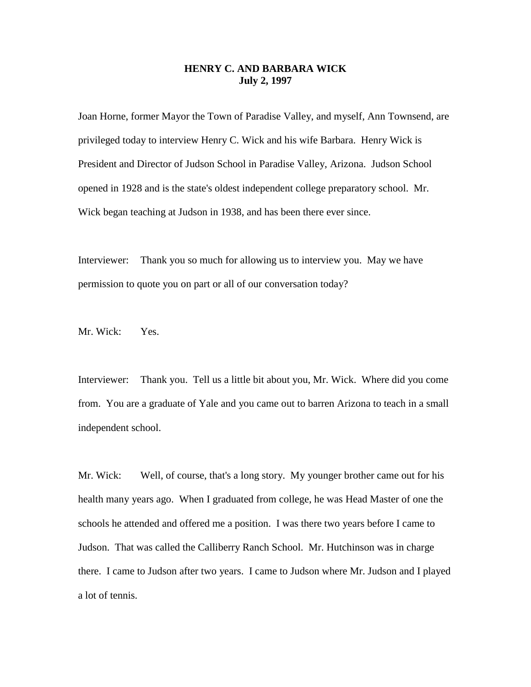## **HENRY C. AND BARBARA WICK July 2, 1997**

Joan Horne, former Mayor the Town of Paradise Valley, and myself, Ann Townsend, are privileged today to interview Henry C. Wick and his wife Barbara. Henry Wick is President and Director of Judson School in Paradise Valley, Arizona. Judson School opened in 1928 and is the state's oldest independent college preparatory school. Mr. Wick began teaching at Judson in 1938, and has been there ever since.

Interviewer: Thank you so much for allowing us to interview you. May we have permission to quote you on part or all of our conversation today?

Mr. Wick: Yes.

Interviewer: Thank you. Tell us a little bit about you, Mr. Wick. Where did you come from. You are a graduate of Yale and you came out to barren Arizona to teach in a small independent school.

Mr. Wick: Well, of course, that's a long story. My younger brother came out for his health many years ago. When I graduated from college, he was Head Master of one the schools he attended and offered me a position. I was there two years before I came to Judson. That was called the Calliberry Ranch School. Mr. Hutchinson was in charge there. I came to Judson after two years. I came to Judson where Mr. Judson and I played a lot of tennis.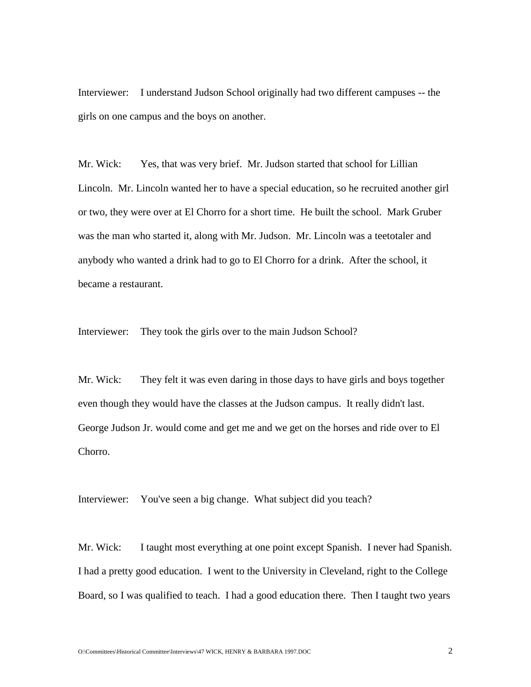Interviewer: I understand Judson School originally had two different campuses -- the girls on one campus and the boys on another.

Mr. Wick: Yes, that was very brief. Mr. Judson started that school for Lillian Lincoln. Mr. Lincoln wanted her to have a special education, so he recruited another girl or two, they were over at El Chorro for a short time. He built the school. Mark Gruber was the man who started it, along with Mr. Judson. Mr. Lincoln was a teetotaler and anybody who wanted a drink had to go to El Chorro for a drink. After the school, it became a restaurant.

Interviewer: They took the girls over to the main Judson School?

Mr. Wick: They felt it was even daring in those days to have girls and boys together even though they would have the classes at the Judson campus. It really didn't last. George Judson Jr. would come and get me and we get on the horses and ride over to El Chorro.

Interviewer: You've seen a big change. What subject did you teach?

Mr. Wick: I taught most everything at one point except Spanish. I never had Spanish. I had a pretty good education. I went to the University in Cleveland, right to the College Board, so I was qualified to teach. I had a good education there. Then I taught two years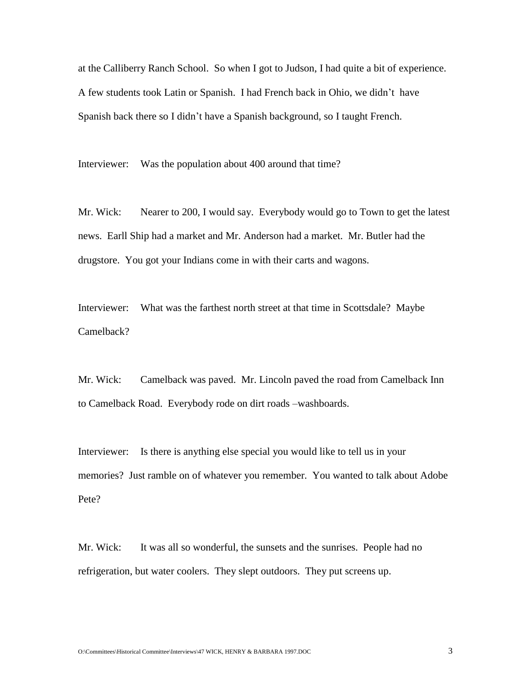at the Calliberry Ranch School. So when I got to Judson, I had quite a bit of experience. A few students took Latin or Spanish. I had French back in Ohio, we didn't have Spanish back there so I didn't have a Spanish background, so I taught French.

Interviewer: Was the population about 400 around that time?

Mr. Wick: Nearer to 200, I would say. Everybody would go to Town to get the latest news. Earll Ship had a market and Mr. Anderson had a market. Mr. Butler had the drugstore. You got your Indians come in with their carts and wagons.

Interviewer: What was the farthest north street at that time in Scottsdale? Maybe Camelback?

Mr. Wick: Camelback was paved. Mr. Lincoln paved the road from Camelback Inn to Camelback Road. Everybody rode on dirt roads –washboards.

Interviewer: Is there is anything else special you would like to tell us in your memories? Just ramble on of whatever you remember. You wanted to talk about Adobe Pete?

Mr. Wick: It was all so wonderful, the sunsets and the sunrises. People had no refrigeration, but water coolers. They slept outdoors. They put screens up.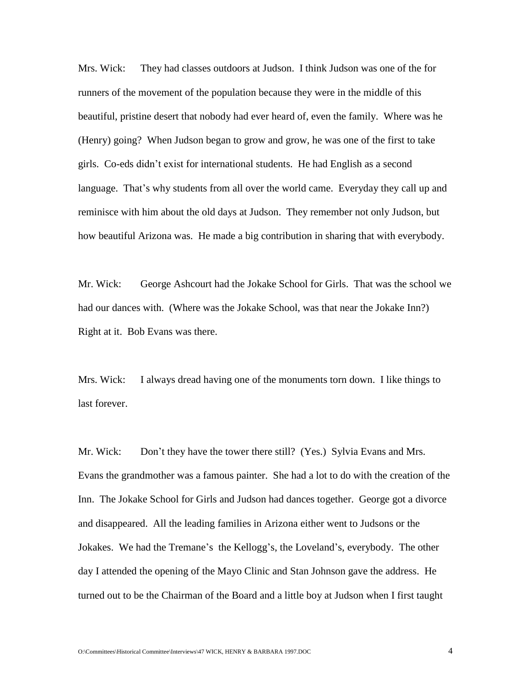Mrs. Wick: They had classes outdoors at Judson. I think Judson was one of the for runners of the movement of the population because they were in the middle of this beautiful, pristine desert that nobody had ever heard of, even the family. Where was he (Henry) going? When Judson began to grow and grow, he was one of the first to take girls. Co-eds didn't exist for international students. He had English as a second language. That's why students from all over the world came. Everyday they call up and reminisce with him about the old days at Judson. They remember not only Judson, but how beautiful Arizona was. He made a big contribution in sharing that with everybody.

Mr. Wick: George Ashcourt had the Jokake School for Girls. That was the school we had our dances with. (Where was the Jokake School, was that near the Jokake Inn?) Right at it. Bob Evans was there.

Mrs. Wick: I always dread having one of the monuments torn down. I like things to last forever.

Mr. Wick: Don't they have the tower there still? (Yes.) Sylvia Evans and Mrs. Evans the grandmother was a famous painter. She had a lot to do with the creation of the Inn. The Jokake School for Girls and Judson had dances together. George got a divorce and disappeared. All the leading families in Arizona either went to Judsons or the Jokakes. We had the Tremane's the Kellogg's, the Loveland's, everybody. The other day I attended the opening of the Mayo Clinic and Stan Johnson gave the address. He turned out to be the Chairman of the Board and a little boy at Judson when I first taught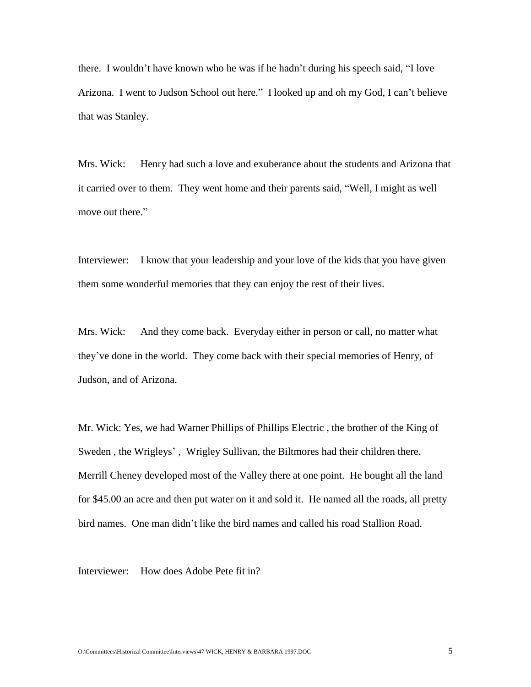there. I wouldn't have known who he was if he hadn't during his speech said, "I love Arizona. I went to Judson School out here." I looked up and oh my God, I can't believe that was Stanley.

Mrs. Wick: Henry had such a love and exuberance about the students and Arizona that it carried over to them. They went home and their parents said, "Well, I might as well move out there."

Interviewer: I know that your leadership and your love of the kids that you have given them some wonderful memories that they can enjoy the rest of their lives.

Mrs. Wick: And they come back. Everyday either in person or call, no matter what they've done in the world. They come back with their special memories of Henry, of Judson, and of Arizona.

Mr. Wick: Yes, we had Warner Phillips of Phillips Electric , the brother of the King of Sweden , the Wrigleys' , Wrigley Sullivan, the Biltmores had their children there. Merrill Cheney developed most of the Valley there at one point. He bought all the land for \$45.00 an acre and then put water on it and sold it. He named all the roads, all pretty bird names. One man didn't like the bird names and called his road Stallion Road.

Interviewer: How does Adobe Pete fit in?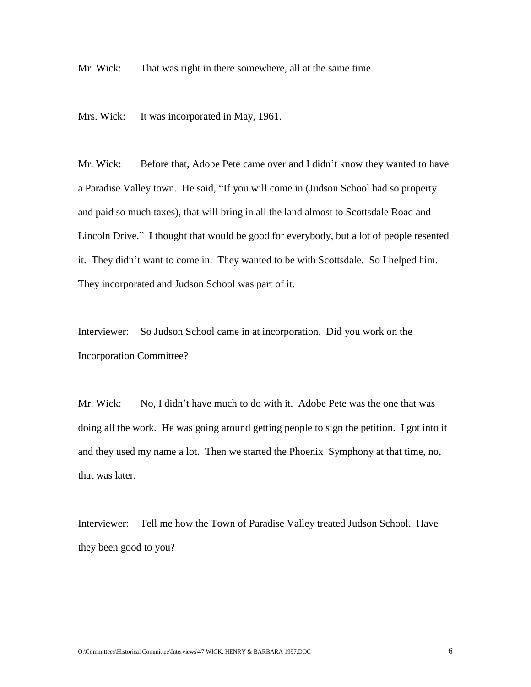Mr. Wick: That was right in there somewhere, all at the same time.

Mrs. Wick: It was incorporated in May, 1961.

Mr. Wick: Before that, Adobe Pete came over and I didn't know they wanted to have a Paradise Valley town. He said, "If you will come in (Judson School had so property and paid so much taxes), that will bring in all the land almost to Scottsdale Road and Lincoln Drive." I thought that would be good for everybody, but a lot of people resented it. They didn't want to come in. They wanted to be with Scottsdale. So I helped him. They incorporated and Judson School was part of it.

Interviewer: So Judson School came in at incorporation. Did you work on the Incorporation Committee?

Mr. Wick: No, I didn't have much to do with it. Adobe Pete was the one that was doing all the work. He was going around getting people to sign the petition. I got into it and they used my name a lot. Then we started the Phoenix Symphony at that time, no, that was later.

Interviewer: Tell me how the Town of Paradise Valley treated Judson School. Have they been good to you?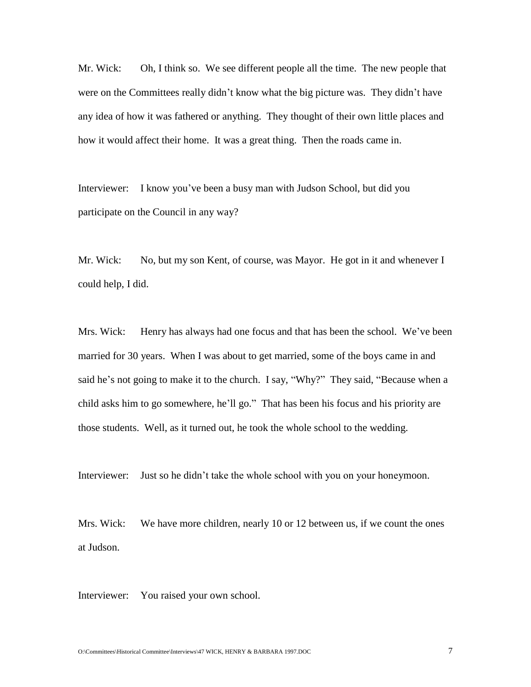Mr. Wick: Oh, I think so. We see different people all the time. The new people that were on the Committees really didn't know what the big picture was. They didn't have any idea of how it was fathered or anything. They thought of their own little places and how it would affect their home. It was a great thing. Then the roads came in.

Interviewer: I know you've been a busy man with Judson School, but did you participate on the Council in any way?

Mr. Wick: No, but my son Kent, of course, was Mayor. He got in it and whenever I could help, I did.

Mrs. Wick: Henry has always had one focus and that has been the school. We've been married for 30 years. When I was about to get married, some of the boys came in and said he's not going to make it to the church. I say, "Why?" They said, "Because when a child asks him to go somewhere, he'll go." That has been his focus and his priority are those students. Well, as it turned out, he took the whole school to the wedding.

Interviewer: Just so he didn't take the whole school with you on your honeymoon.

Mrs. Wick: We have more children, nearly 10 or 12 between us, if we count the ones at Judson.

Interviewer: You raised your own school.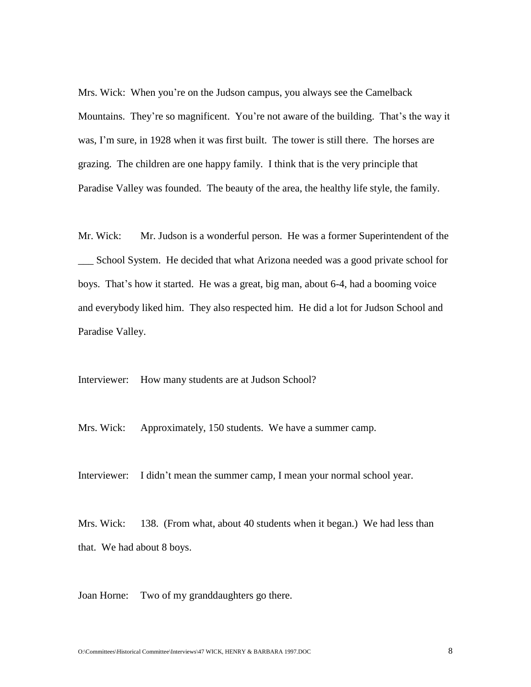Mrs. Wick: When you're on the Judson campus, you always see the Camelback Mountains. They're so magnificent. You're not aware of the building. That's the way it was, I'm sure, in 1928 when it was first built. The tower is still there. The horses are grazing. The children are one happy family. I think that is the very principle that Paradise Valley was founded. The beauty of the area, the healthy life style, the family.

Mr. Wick: Mr. Judson is a wonderful person. He was a former Superintendent of the \_\_\_ School System. He decided that what Arizona needed was a good private school for boys. That's how it started. He was a great, big man, about 6-4, had a booming voice and everybody liked him. They also respected him. He did a lot for Judson School and Paradise Valley.

Interviewer: How many students are at Judson School?

Mrs. Wick: Approximately, 150 students. We have a summer camp.

Interviewer: I didn't mean the summer camp, I mean your normal school year.

Mrs. Wick: 138. (From what, about 40 students when it began.) We had less than that. We had about 8 boys.

Joan Horne: Two of my granddaughters go there.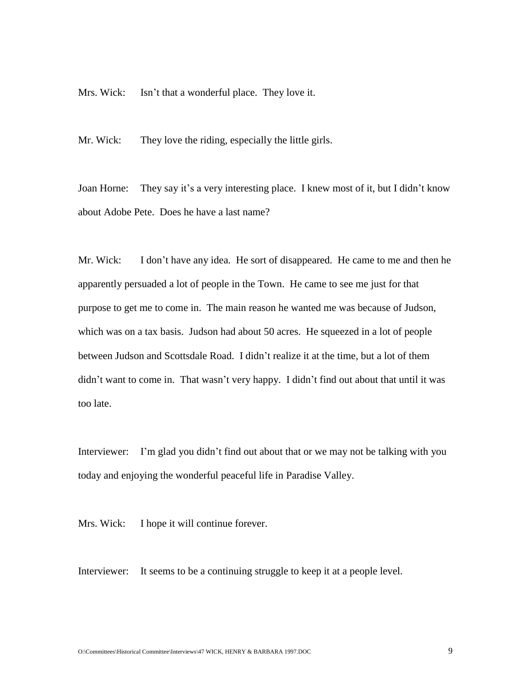Mrs. Wick: Isn't that a wonderful place. They love it.

Mr. Wick: They love the riding, especially the little girls.

Joan Horne: They say it's a very interesting place. I knew most of it, but I didn't know about Adobe Pete. Does he have a last name?

Mr. Wick: I don't have any idea. He sort of disappeared. He came to me and then he apparently persuaded a lot of people in the Town. He came to see me just for that purpose to get me to come in. The main reason he wanted me was because of Judson, which was on a tax basis. Judson had about 50 acres. He squeezed in a lot of people between Judson and Scottsdale Road. I didn't realize it at the time, but a lot of them didn't want to come in. That wasn't very happy. I didn't find out about that until it was too late.

Interviewer: I'm glad you didn't find out about that or we may not be talking with you today and enjoying the wonderful peaceful life in Paradise Valley.

Mrs. Wick: I hope it will continue forever.

Interviewer: It seems to be a continuing struggle to keep it at a people level.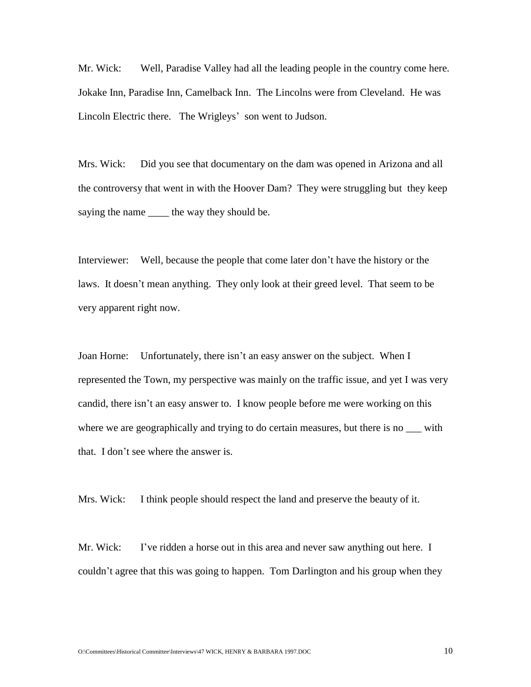Mr. Wick: Well, Paradise Valley had all the leading people in the country come here. Jokake Inn, Paradise Inn, Camelback Inn. The Lincolns were from Cleveland. He was Lincoln Electric there. The Wrigleys' son went to Judson.

Mrs. Wick: Did you see that documentary on the dam was opened in Arizona and all the controversy that went in with the Hoover Dam? They were struggling but they keep saying the name \_\_\_\_\_ the way they should be.

Interviewer: Well, because the people that come later don't have the history or the laws. It doesn't mean anything. They only look at their greed level. That seem to be very apparent right now.

Joan Horne: Unfortunately, there isn't an easy answer on the subject. When I represented the Town, my perspective was mainly on the traffic issue, and yet I was very candid, there isn't an easy answer to. I know people before me were working on this where we are geographically and trying to do certain measures, but there is no  $\equiv$  with that. I don't see where the answer is.

Mrs. Wick: I think people should respect the land and preserve the beauty of it.

Mr. Wick: I've ridden a horse out in this area and never saw anything out here. I couldn't agree that this was going to happen. Tom Darlington and his group when they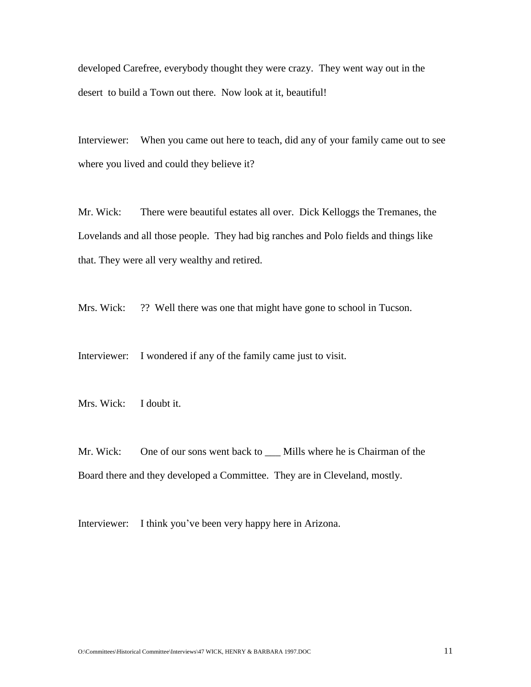developed Carefree, everybody thought they were crazy. They went way out in the desert to build a Town out there. Now look at it, beautiful!

Interviewer: When you came out here to teach, did any of your family came out to see where you lived and could they believe it?

Mr. Wick: There were beautiful estates all over. Dick Kelloggs the Tremanes, the Lovelands and all those people. They had big ranches and Polo fields and things like that. They were all very wealthy and retired.

Mrs. Wick: ?? Well there was one that might have gone to school in Tucson.

Interviewer: I wondered if any of the family came just to visit.

Mrs. Wick: I doubt it.

Mr. Wick: One of our sons went back to \_\_\_ Mills where he is Chairman of the Board there and they developed a Committee. They are in Cleveland, mostly.

Interviewer: I think you've been very happy here in Arizona.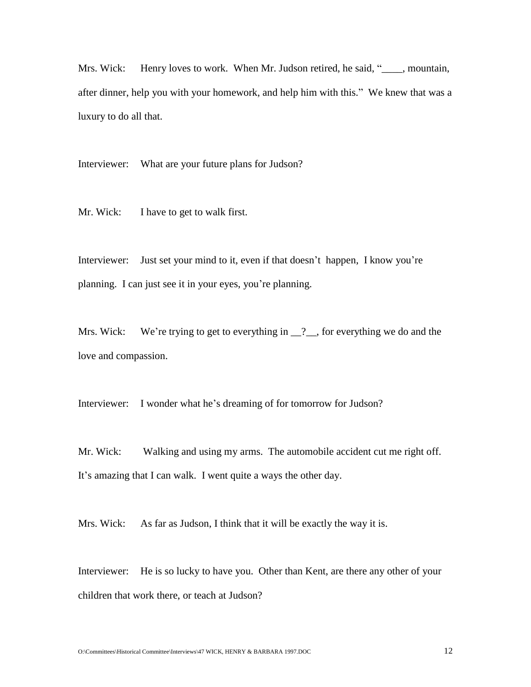Mrs. Wick: Henry loves to work. When Mr. Judson retired, he said, "
summare mountain, after dinner, help you with your homework, and help him with this." We knew that was a luxury to do all that.

Interviewer: What are your future plans for Judson?

Mr. Wick: I have to get to walk first.

Interviewer: Just set your mind to it, even if that doesn't happen, I know you're planning. I can just see it in your eyes, you're planning.

Mrs. Wick: We're trying to get to everything in  $\frac{1}{2}$ , for everything we do and the love and compassion.

Interviewer: I wonder what he's dreaming of for tomorrow for Judson?

Mr. Wick: Walking and using my arms. The automobile accident cut me right off. It's amazing that I can walk. I went quite a ways the other day.

Mrs. Wick: As far as Judson, I think that it will be exactly the way it is.

Interviewer: He is so lucky to have you. Other than Kent, are there any other of your children that work there, or teach at Judson?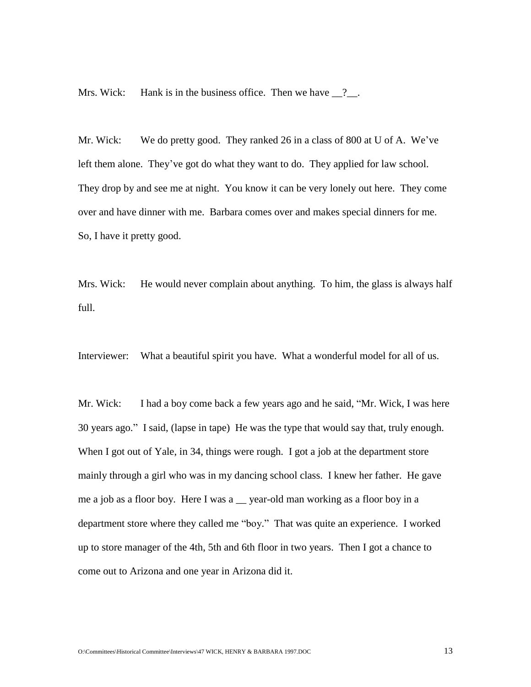Mrs. Wick: Hank is in the business office. Then we have  $\frac{9}{2}$ .

Mr. Wick: We do pretty good. They ranked 26 in a class of 800 at U of A. We've left them alone. They've got do what they want to do. They applied for law school. They drop by and see me at night. You know it can be very lonely out here. They come over and have dinner with me. Barbara comes over and makes special dinners for me. So, I have it pretty good.

Mrs. Wick: He would never complain about anything. To him, the glass is always half full.

Interviewer: What a beautiful spirit you have. What a wonderful model for all of us.

Mr. Wick: I had a boy come back a few years ago and he said, "Mr. Wick, I was here 30 years ago." I said, (lapse in tape) He was the type that would say that, truly enough. When I got out of Yale, in 34, things were rough. I got a job at the department store mainly through a girl who was in my dancing school class. I knew her father. He gave me a job as a floor boy. Here I was a sear-old man working as a floor boy in a department store where they called me "boy." That was quite an experience. I worked up to store manager of the 4th, 5th and 6th floor in two years. Then I got a chance to come out to Arizona and one year in Arizona did it.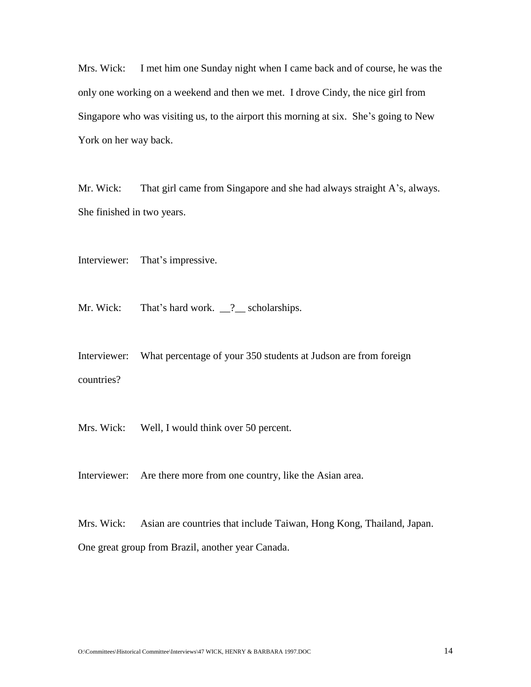Mrs. Wick: I met him one Sunday night when I came back and of course, he was the only one working on a weekend and then we met. I drove Cindy, the nice girl from Singapore who was visiting us, to the airport this morning at six. She's going to New York on her way back.

Mr. Wick: That girl came from Singapore and she had always straight A's, always. She finished in two years.

Interviewer: That's impressive.

Mr. Wick: That's hard work. 2 scholarships.

Interviewer: What percentage of your 350 students at Judson are from foreign countries?

Mrs. Wick: Well, I would think over 50 percent.

Interviewer: Are there more from one country, like the Asian area.

Mrs. Wick: Asian are countries that include Taiwan, Hong Kong, Thailand, Japan. One great group from Brazil, another year Canada.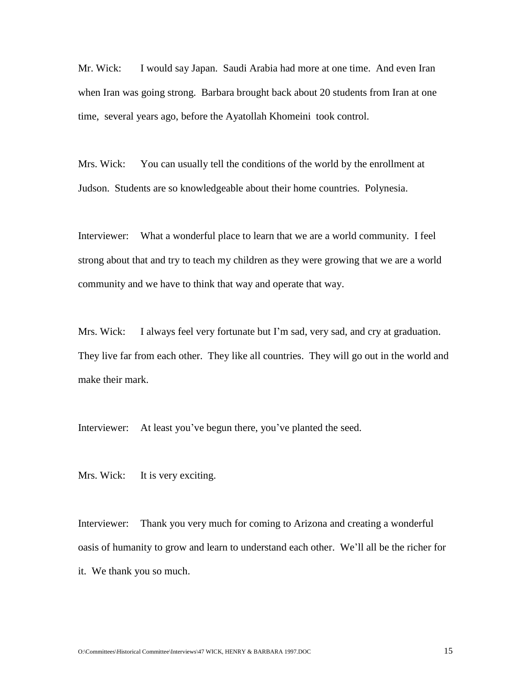Mr. Wick: I would say Japan. Saudi Arabia had more at one time. And even Iran when Iran was going strong. Barbara brought back about 20 students from Iran at one time, several years ago, before the Ayatollah Khomeini took control.

Mrs. Wick: You can usually tell the conditions of the world by the enrollment at Judson. Students are so knowledgeable about their home countries. Polynesia.

Interviewer: What a wonderful place to learn that we are a world community. I feel strong about that and try to teach my children as they were growing that we are a world community and we have to think that way and operate that way.

Mrs. Wick: I always feel very fortunate but I'm sad, very sad, and cry at graduation. They live far from each other. They like all countries. They will go out in the world and make their mark.

Interviewer: At least you've begun there, you've planted the seed.

Mrs. Wick: It is very exciting.

Interviewer: Thank you very much for coming to Arizona and creating a wonderful oasis of humanity to grow and learn to understand each other. We'll all be the richer for it. We thank you so much.